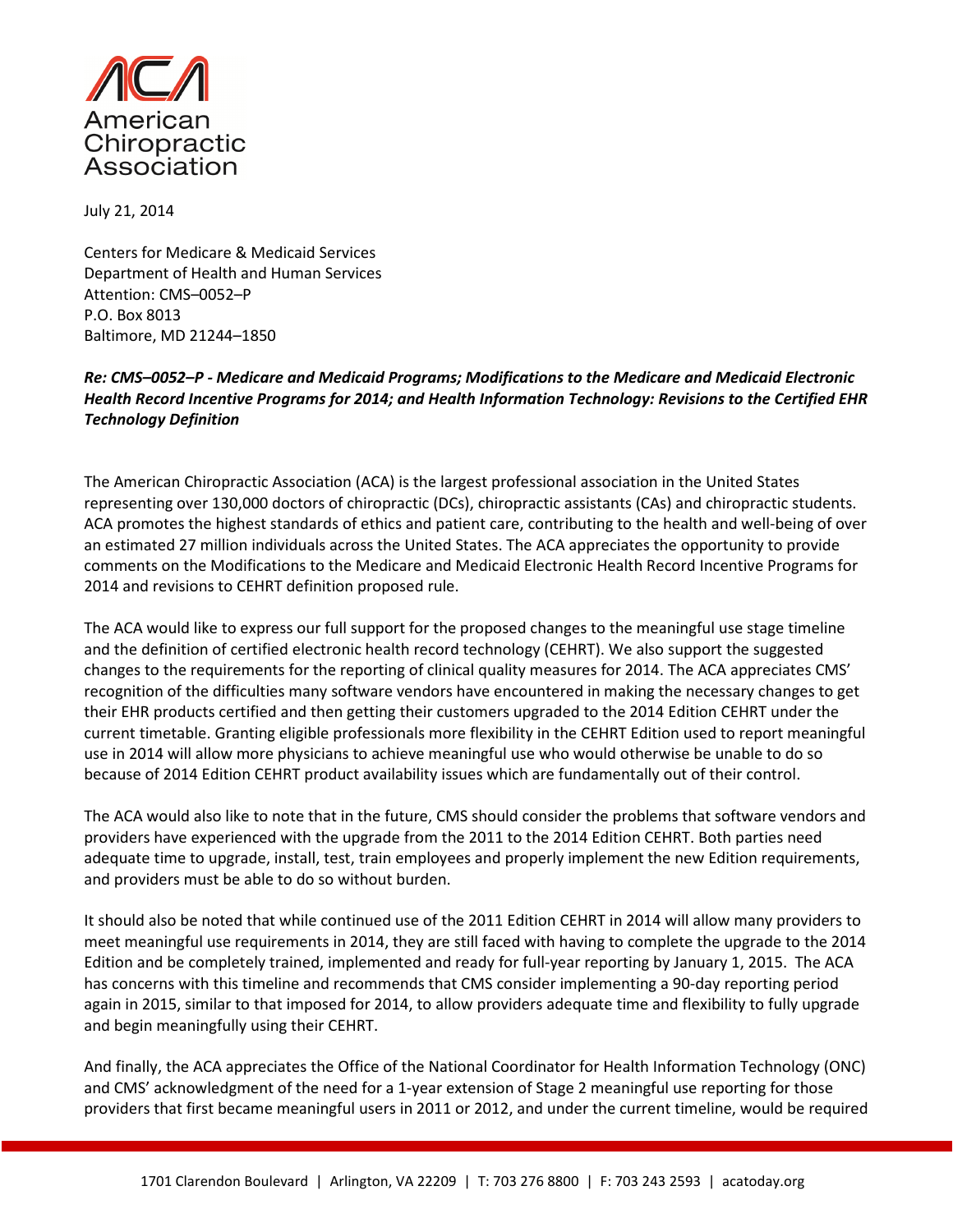

July 21, 2014

Centers for Medicare & Medicaid Services Department of Health and Human Services Attention: CMS–0052–P P.O. Box 8013 Baltimore, MD 21244–1850

Re: CMS–0052–P - Medicare and Medicaid Programs; Modifications to the Medicare and Medicaid Electronic Health Record Incentive Programs for 2014; and Health Information Technology: Revisions to the Certified EHR Technology Definition

The American Chiropractic Association (ACA) is the largest professional association in the United States representing over 130,000 doctors of chiropractic (DCs), chiropractic assistants (CAs) and chiropractic students. ACA promotes the highest standards of ethics and patient care, contributing to the health and well-being of over an estimated 27 million individuals across the United States. The ACA appreciates the opportunity to provide comments on the Modifications to the Medicare and Medicaid Electronic Health Record Incentive Programs for 2014 and revisions to CEHRT definition proposed rule.

The ACA would like to express our full support for the proposed changes to the meaningful use stage timeline and the definition of certified electronic health record technology (CEHRT). We also support the suggested changes to the requirements for the reporting of clinical quality measures for 2014. The ACA appreciates CMS' recognition of the difficulties many software vendors have encountered in making the necessary changes to get their EHR products certified and then getting their customers upgraded to the 2014 Edition CEHRT under the current timetable. Granting eligible professionals more flexibility in the CEHRT Edition used to report meaningful use in 2014 will allow more physicians to achieve meaningful use who would otherwise be unable to do so because of 2014 Edition CEHRT product availability issues which are fundamentally out of their control.

The ACA would also like to note that in the future, CMS should consider the problems that software vendors and providers have experienced with the upgrade from the 2011 to the 2014 Edition CEHRT. Both parties need adequate time to upgrade, install, test, train employees and properly implement the new Edition requirements, and providers must be able to do so without burden.

It should also be noted that while continued use of the 2011 Edition CEHRT in 2014 will allow many providers to meet meaningful use requirements in 2014, they are still faced with having to complete the upgrade to the 2014 Edition and be completely trained, implemented and ready for full-year reporting by January 1, 2015. The ACA has concerns with this timeline and recommends that CMS consider implementing a 90-day reporting period again in 2015, similar to that imposed for 2014, to allow providers adequate time and flexibility to fully upgrade and begin meaningfully using their CEHRT.

And finally, the ACA appreciates the Office of the National Coordinator for Health Information Technology (ONC) and CMS' acknowledgment of the need for a 1-year extension of Stage 2 meaningful use reporting for those providers that first became meaningful users in 2011 or 2012, and under the current timeline, would be required